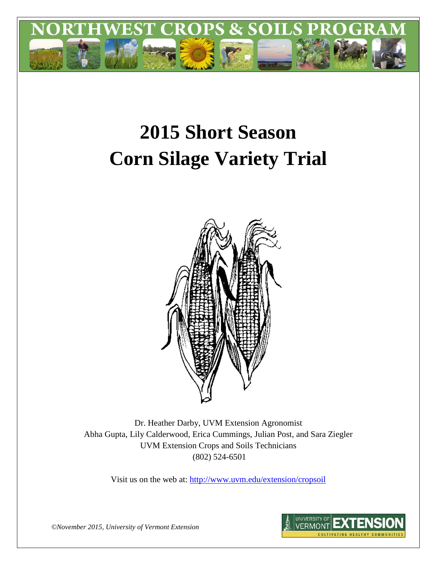

# **2015 Short Season Corn Silage Variety Trial**



Dr. Heather Darby, UVM Extension Agronomist Abha Gupta, Lily Calderwood, Erica Cummings, Julian Post, and Sara Ziegler UVM Extension Crops and Soils Technicians (802) 524-6501

Visit us on the web at: <http://www.uvm.edu/extension/cropsoil>



*©November 2015, University of Vermont Extension*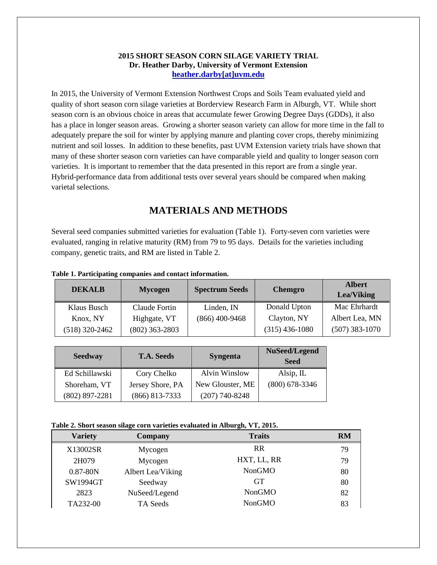#### **2015 SHORT SEASON CORN SILAGE VARIETY TRIAL Dr. Heather Darby, University of Vermont Extension [heather.darby\[at\]uvm.edu](mailto:heather.darby@uvm.edu?subject=2012%20Short%20Season%20Corn%20Report)**

In 2015, the University of Vermont Extension Northwest Crops and Soils Team evaluated yield and quality of short season corn silage varieties at Borderview Research Farm in Alburgh, VT. While short season corn is an obvious choice in areas that accumulate fewer Growing Degree Days (GDDs), it also has a place in longer season areas. Growing a shorter season variety can allow for more time in the fall to adequately prepare the soil for winter by applying manure and planting cover crops, thereby minimizing nutrient and soil losses. In addition to these benefits, past UVM Extension variety trials have shown that many of these shorter season corn varieties can have comparable yield and quality to longer season corn varieties. It is important to remember that the data presented in this report are from a single year. Hybrid-performance data from additional tests over several years should be compared when making varietal selections.

## **MATERIALS AND METHODS**

Several seed companies submitted varieties for evaluation (Table 1). Forty-seven corn varieties were evaluated, ranging in relative maturity (RM) from 79 to 95 days. Details for the varieties including company, genetic traits, and RM are listed in Table 2.

| <b>DEKALB</b>  | <b>Mycogen</b>   | <b>Spectrum Seeds</b> | <b>Chemgro</b>   | <b>Albert</b><br><b>Lea/Viking</b> |
|----------------|------------------|-----------------------|------------------|------------------------------------|
| Klaus Busch    | Claude Fortin    | Linden, IN            | Donald Upton     | Mac Ehrhardt                       |
| Knox, NY       | Highgate, VT     | $(866)$ 400-9468      | Clayton, NY      | Albert Lea, MN                     |
| (518) 320-2462 | $(802)$ 363-2803 |                       | $(315)$ 436-1080 | $(507)$ 383-1070                   |

#### **Table 1. Participating companies and contact information.**

| <b>Seedway</b>   | <b>T.A. Seeds</b> | <b>Syngenta</b>      | NuSeed/Legend<br><b>Seed</b> |
|------------------|-------------------|----------------------|------------------------------|
| Ed Schillawski   | Cory Chelko       | <b>Alvin Winslow</b> | Alsip, $IL$                  |
| Shoreham, VT     | Jersey Shore, PA  | New Glouster, ME     | $(800)$ 678-3346             |
| $(802)$ 897-2281 | $(866)$ 813-7333  | $(207)$ 740-8248     |                              |

| Table 2. Short season silage corn varieties evaluated in Alburgh, VT, 2015. |  |  |  |
|-----------------------------------------------------------------------------|--|--|--|
|                                                                             |  |  |  |

| <b>Variety</b> | <b>Company</b>    | <b>Traits</b> | RM |
|----------------|-------------------|---------------|----|
| X13002SR       | Mycogen           | <b>RR</b>     | 79 |
| 2H079          | Mycogen           | HXT, LL, RR   | 79 |
| $0.87 - 80N$   | Albert Lea/Viking | <b>NonGMO</b> | 80 |
| SW1994GT       | Seedway           | <b>GT</b>     | 80 |
| 2823           | NuSeed/Legend     | <b>NonGMO</b> | 82 |
| TA232-00       | TA Seeds          | <b>NonGMO</b> | 83 |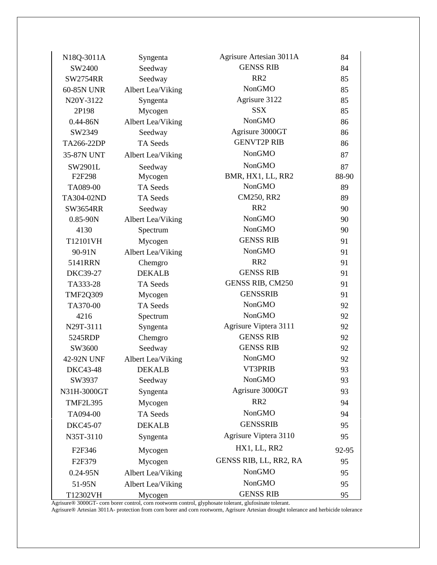| N18Q-3011A          | Syngenta          | Agrisure Artesian 3011A | 84    |
|---------------------|-------------------|-------------------------|-------|
| SW2400              | Seedway           | <b>GENSS RIB</b>        | 84    |
| <b>SW2754RR</b>     | Seedway           | RR <sub>2</sub>         | 85    |
| 60-85N UNR          | Albert Lea/Viking | <b>NonGMO</b>           | 85    |
| N20Y-3122           | Syngenta          | Agrisure 3122           | 85    |
| 2P198               | Mycogen           | <b>SSX</b>              | 85    |
| $0.44 - 86N$        | Albert Lea/Viking | <b>NonGMO</b>           | 86    |
| SW2349              | Seedway           | Agrisure 3000GT         | 86    |
| TA266-22DP          | <b>TA</b> Seeds   | <b>GENVT2P RIB</b>      | 86    |
| 35-87N UNT          | Albert Lea/Viking | <b>NonGMO</b>           | 87    |
| SW2901L             | Seedway           | <b>NonGMO</b>           | 87    |
| F2F298              | Mycogen           | BMR, HX1, LL, RR2       | 88-90 |
| TA089-00            | TA Seeds          | <b>NonGMO</b>           | 89    |
| TA304-02ND          | TA Seeds          | CM250, RR2              | 89    |
| <b>SW3654RR</b>     | Seedway           | RR <sub>2</sub>         | 90    |
| $0.85 - 90N$        | Albert Lea/Viking | <b>NonGMO</b>           | 90    |
| 4130                | Spectrum          | <b>NonGMO</b>           | 90    |
| T12101VH            | Mycogen           | <b>GENSS RIB</b>        | 91    |
| 90-91N              | Albert Lea/Viking | <b>NonGMO</b>           | 91    |
| 5141RRN             | Chemgro           | RR <sub>2</sub>         | 91    |
| <b>DKC39-27</b>     | <b>DEKALB</b>     | <b>GENSS RIB</b>        | 91    |
| TA333-28            | TA Seeds          | GENSS RIB, CM250        | 91    |
| <b>TMF2Q309</b>     | Mycogen           | <b>GENSSRIB</b>         | 91    |
| TA370-00            | TA Seeds          | <b>NonGMO</b>           | 92    |
| 4216                | Spectrum          | <b>NonGMO</b>           | 92    |
| N29T-3111           | Syngenta          | Agrisure Viptera 3111   | 92    |
| 5245RDP             | Chemgro           | <b>GENSS RIB</b>        | 92    |
| SW3600              | Seedway           | <b>GENSS RIB</b>        | 92    |
| 42-92N UNF          | Albert Lea/Viking | NonGMO                  | 92    |
| <b>DKC43-48</b>     | <b>DEKALB</b>     | VT3PRIB                 | 93    |
| SW3937              | Seedway           | <b>NonGMO</b>           | 93    |
| N31H-3000GT         | Syngenta          | Agrisure 3000GT         | 93    |
| <b>TMF2L395</b>     | Mycogen           | RR <sub>2</sub>         | 94    |
| TA094-00            | TA Seeds          | <b>NonGMO</b>           | 94    |
| <b>DKC45-07</b>     | <b>DEKALB</b>     | <b>GENSSRIB</b>         | 95    |
| N35T-3110           | Syngenta          | Agrisure Viptera 3110   | 95    |
| F <sub>2F</sub> 346 | Mycogen           | HX1, LL, RR2            | 92-95 |
| F <sub>2F379</sub>  | Mycogen           | GENSS RIB, LL, RR2, RA  | 95    |
| $0.24 - 95N$        | Albert Lea/Viking | <b>NonGMO</b>           | 95    |
| 51-95N              | Albert Lea/Viking | <b>NonGMO</b>           | 95    |
| T12302VH            | Mycogen           | <b>GENSS RIB</b>        | 95    |

Agrisure® 3000GT- corn borer control, corn rootworm control, glyphosate tolerant, glufosinate tolerant.

Agrisure® Artesian 3011A- protection from corn borer and corn rootworm, Agrisure Artesian drought tolerance and herbicide tolerance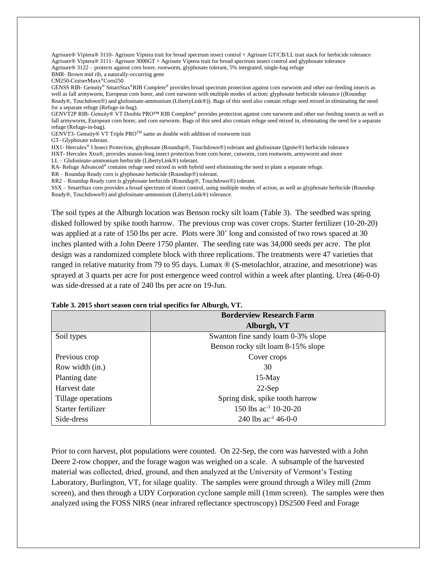Agrisure® Viptera® 3110- Agrisure Viptera trait for broad spectrum insect control + Agrisure GT/CB/LL trait stack for herbicide tolerance Agrisure® Viptera® 3111- Agrisure 3000GT + Agrisure Viptera trait for broad spectrum insect control and glyphosate tolerance Agrisure® 3122 – protects against corn borer, rootworm, glyphosate tolerant, 5% integrated, single-bag refuge BMR- Brown mid rib, a naturally-occurring gene CM250-CruiserMaxx®Corn250 GENSS RIB- Genuity® SmartStax®RIB Complete® provides broad spectrum protection against corn earworm and other ear-feeding insects as well as fall armyworm, European corn borer, and corn earworm with multiple modes of action; glyphosate herbicide tolerance ((Roundup Ready®, Touchdown®) and glufosinate-ammonium (LibertyLink®)). Bags of this seed also contain refuge seed mixed in eliminating the need

for a separate refuge (Refuge-in-bag). GENVT2P RIB- Genuity® VT Double PRO™ RIB Complete® provides protection against corn earworm and other ear-feeding insects as well as fall armyworm, European corn borer, and corn earworm. Bags of this seed also contain refuge seed mixed in, eliminating the need for a separate refuge (Refuge-in-bag).

GENVT3- Genuity® VT Triple PROTM same as double with addition of rootworm trait

GT- Glyphosate tolerant.

HX1- Herculex<sup>®</sup> I Insect Protection, glyphosate (Roundup®, Touchdown®) tolerant and glufosinate (Ignite®) herbicide tolerance HXT- Herculex Xtra®, provides season-long insect protection from corn borer, cutworm, corn rootworm, armyworm and more

LL – Glufosinate-ammonium herbicide (LibertyLink®) tolerant.

RA- Refuge Advanced® contains refuge seed mixed in with hybrid seed eliminating the need to plant a separate refuge.

 $RR - Roundup$  Ready corn is glyphosate herbicide (Roundup $\circledR$ ) tolerant.

RR2 – Roundup Ready corn is glyphosate herbicide (Roundup®, Touchdown®) tolerant.

SSX – SmartStax corn provides a broad spectrum of insect control, using multiple modes of action, as well as glyphosate herbicide (Roundup Ready®, Touchdown®) and glufosinate-ammonium (LibertyLink®) tolerance.

The soil types at the Alburgh location was Benson rocky silt loam (Table 3). The seedbed was spring disked followed by spike tooth harrow. The previous crop was cover crops. Starter fertilizer (10-20-20) was applied at a rate of 150 lbs per acre. Plots were 30' long and consisted of two rows spaced at 30 inches planted with a John Deere 1750 planter. The seeding rate was 34,000 seeds per acre. The plot design was a randomized complete block with three replications. The treatments were 47 varieties that ranged in relative maturity from 79 to 95 days. Lumax ® (S-metolachlor, atrazine, and mesotrione) was sprayed at 3 quarts per acre for post emergence weed control within a week after planting. Urea (46-0-0) was side-dressed at a rate of 240 lbs per acre on 19-Jun.

| <b>Borderview Research Farm</b> |                                    |  |  |  |  |
|---------------------------------|------------------------------------|--|--|--|--|
|                                 | Alburgh, VT                        |  |  |  |  |
| Soil types                      | Swanton fine sandy loam 0-3% slope |  |  |  |  |
|                                 | Benson rocky silt loam 8-15% slope |  |  |  |  |
| Previous crop                   | Cover crops                        |  |  |  |  |
| Row width (in.)                 | 30                                 |  |  |  |  |
| Planting date                   | $15-May$                           |  |  |  |  |
| Harvest date                    | $22-Sep$                           |  |  |  |  |
| Tillage operations              | Spring disk, spike tooth harrow    |  |  |  |  |
| Starter fertilizer              | 150 lbs $ac^{-1}$ 10-20-20         |  |  |  |  |
| Side-dress                      | 240 lbs $ac^{-1}$ 46-0-0           |  |  |  |  |

| Table 3. 2015 short season corn trial specifics for Alburgh, VT. |  |  |
|------------------------------------------------------------------|--|--|
|------------------------------------------------------------------|--|--|

Prior to corn harvest, plot populations were counted. On 22-Sep, the corn was harvested with a John Deere 2-row chopper, and the forage wagon was weighed on a scale. A subsample of the harvested material was collected, dried, ground, and then analyzed at the University of Vermont's Testing Laboratory, Burlington, VT, for silage quality. The samples were ground through a Wiley mill (2mm screen), and then through a UDY Corporation cyclone sample mill (1mm screen). The samples were then analyzed using the FOSS NIRS (near infrared reflectance spectroscopy) DS2500 Feed and Forage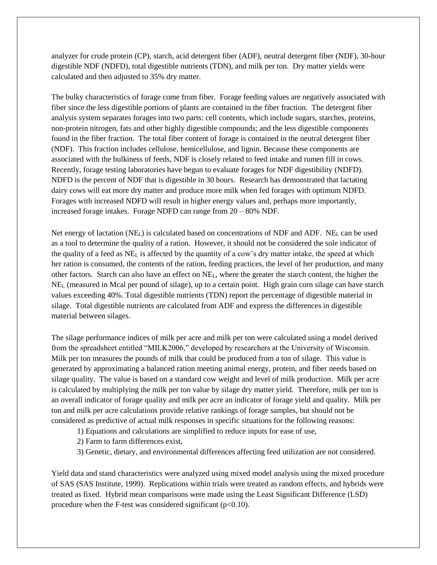analyzer for crude protein (CP), starch, acid detergent fiber (ADF), neutral detergent fiber (NDF), 30-hour digestible NDF (NDFD), total digestible nutrients (TDN), and milk per ton. Dry matter yields were calculated and then adjusted to 35% dry matter.

The bulky characteristics of forage come from fiber. Forage feeding values are negatively associated with fiber since the less digestible portions of plants are contained in the fiber fraction. The detergent fiber analysis system separates forages into two parts: cell contents, which include sugars, starches, proteins, non-protein nitrogen, fats and other highly digestible compounds; and the less digestible components found in the fiber fraction. The total fiber content of forage is contained in the neutral detergent fiber (NDF). This fraction includes cellulose, hemicellulose, and lignin. Because these components are associated with the bulkiness of feeds, NDF is closely related to feed intake and rumen fill in cows. Recently, forage testing laboratories have begun to evaluate forages for NDF digestibility (NDFD). NDFD is the percent of NDF that is digestible in 30 hours. Research has demonstrated that lactating dairy cows will eat more dry matter and produce more milk when fed forages with optimum NDFD. Forages with increased NDFD will result in higher energy values and, perhaps more importantly, increased forage intakes. Forage NDFD can range from 20 – 80% NDF.

Net energy of lactation ( $NE<sub>L</sub>$ ) is calculated based on concentrations of NDF and ADF. NE<sub>L</sub> can be used as a tool to determine the quality of a ration. However, it should not be considered the sole indicator of the quality of a feed as NE<sup>L</sup> is affected by the quantity of a cow's dry matter intake, the speed at which her ration is consumed, the contents of the ration, feeding practices, the level of her production, and many other factors. Starch can also have an effect on  $NE<sub>L</sub>$ , where the greater the starch content, the higher the NE<sup>L</sup> (measured in Mcal per pound of silage), up to a certain point. High grain corn silage can have starch values exceeding 40%. Total digestible nutrients (TDN) report the percentage of digestible material in silage. Total digestible nutrients are calculated from ADF and express the differences in digestible material between silages.

The silage performance indices of milk per acre and milk per ton were calculated using a model derived from the spreadsheet entitled "MILK2006," developed by researchers at the University of Wisconsin. Milk per ton measures the pounds of milk that could be produced from a ton of silage. This value is generated by approximating a balanced ration meeting animal energy, protein, and fiber needs based on silage quality. The value is based on a standard cow weight and level of milk production. Milk per acre is calculated by multiplying the milk per ton value by silage dry matter yield. Therefore, milk per ton is an overall indicator of forage quality and milk per acre an indicator of forage yield and quality. Milk per ton and milk per acre calculations provide relative rankings of forage samples, but should not be considered as predictive of actual milk responses in specific situations for the following reasons:

- 1) Equations and calculations are simplified to reduce inputs for ease of use,
- 2) Farm to farm differences exist,
- 3) Genetic, dietary, and environmental differences affecting feed utilization are not considered.

Yield data and stand characteristics were analyzed using mixed model analysis using the mixed procedure of SAS (SAS Institute, 1999). Replications within trials were treated as random effects, and hybrids were treated as fixed. Hybrid mean comparisons were made using the Least Significant Difference (LSD) procedure when the F-test was considered significant ( $p<0.10$ ).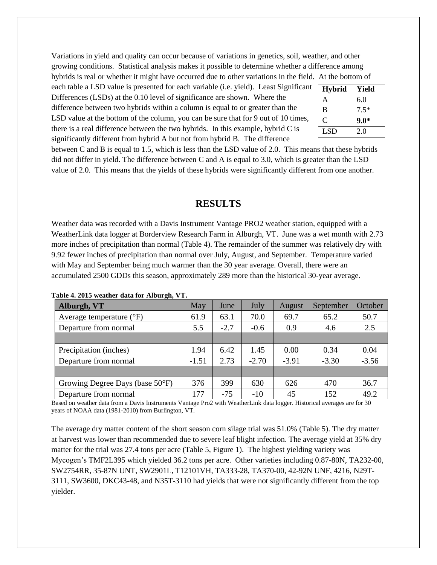Variations in yield and quality can occur because of variations in genetics, soil, weather, and other growing conditions. Statistical analysis makes it possible to determine whether a difference among hybrids is real or whether it might have occurred due to other variations in the field. At the bottom of

each table a LSD value is presented for each variable (i.e. yield). Least Significant Differences (LSDs) at the 0.10 level of significance are shown. Where the difference between two hybrids within a column is equal to or greater than the LSD value at the bottom of the column, you can be sure that for 9 out of 10 times, there is a real difference between the two hybrids. In this example, hybrid C is significantly different from hybrid A but not from hybrid B. The difference

| <b>Hybrid</b> | Yield  |
|---------------|--------|
| A             | 6.0    |
| B             | $7.5*$ |
| C             | $9.0*$ |
| LSD           | 2.0    |

between C and B is equal to 1.5, which is less than the LSD value of 2.0. This means that these hybrids did not differ in yield. The difference between C and A is equal to 3.0, which is greater than the LSD value of 2.0. This means that the yields of these hybrids were significantly different from one another.

### **RESULTS**

Weather data was recorded with a Davis Instrument Vantage PRO2 weather station, equipped with a WeatherLink data logger at Borderview Research Farm in Alburgh, VT. June was a wet month with 2.73 more inches of precipitation than normal (Table 4). The remainder of the summer was relatively dry with 9.92 fewer inches of precipitation than normal over July, August, and September. Temperature varied with May and September being much warmer than the 30 year average. Overall, there were an accumulated 2500 GDDs this season, approximately 289 more than the historical 30-year average.

| $\sim$ $\sim$<br>Alburgh, VT      | May     | June   | July    | August  | September | October |
|-----------------------------------|---------|--------|---------|---------|-----------|---------|
| Average temperature $(^{\circ}F)$ | 61.9    | 63.1   | 70.0    | 69.7    | 65.2      | 50.7    |
| Departure from normal             | 5.5     | $-2.7$ | $-0.6$  | 0.9     | 4.6       | 2.5     |
|                                   |         |        |         |         |           |         |
| Precipitation (inches)            | 1.94    | 6.42   | 1.45    | 0.00    | 0.34      | 0.04    |
| Departure from normal             | $-1.51$ | 2.73   | $-2.70$ | $-3.91$ | $-3.30$   | $-3.56$ |
|                                   |         |        |         |         |           |         |
| Growing Degree Days (base 50°F)   | 376     | 399    | 630     | 626     | 470       | 36.7    |
| Departure from normal             | 177     | $-75$  | $-10$   | 45      | 152       | 49.2    |

**Table 4. 2015 weather data for Alburgh, VT.**

Based on weather data from a Davis Instruments Vantage Pro2 with WeatherLink data logger. Historical averages are for 30 years of NOAA data (1981-2010) from Burlington, VT.

The average dry matter content of the short season corn silage trial was 51.0% (Table 5). The dry matter at harvest was lower than recommended due to severe leaf blight infection. The average yield at 35% dry matter for the trial was 27.4 tons per acre (Table 5, Figure 1). The highest yielding variety was Mycogen's TMF2L395 which yielded 36.2 tons per acre. Other varieties including 0.87-80N, TA232-00, SW2754RR, 35-87N UNT, SW2901L, T12101VH, TA333-28, TA370-00, 42-92N UNF, 4216, N29T-3111, SW3600, DKC43-48, and N35T-3110 had yields that were not significantly different from the top yielder.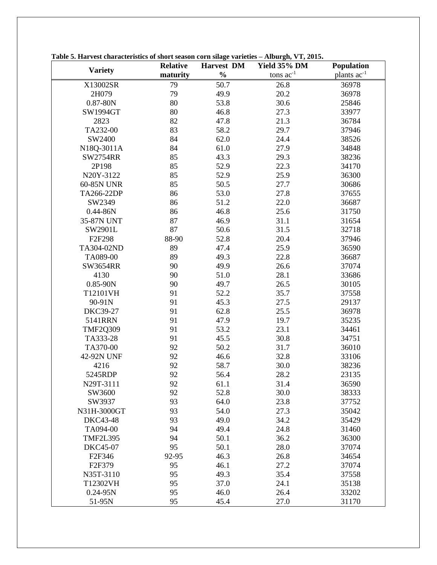|                    | <b>Relative</b> | <b>Harvest DM</b> | Yield 35% DM   | Population       |
|--------------------|-----------------|-------------------|----------------|------------------|
| <b>Variety</b>     | maturity        | $\frac{0}{0}$     | tons $ac^{-1}$ | plants $ac^{-1}$ |
| X13002SR           | 79              | 50.7              | 26.8           | 36978            |
| 2H079              | 79              | 49.9              | 20.2           | 36978            |
| $0.87 - 80N$       | 80              | 53.8              | 30.6           | 25846            |
| <b>SW1994GT</b>    | 80              | 46.8              | 27.3           | 33977            |
| 2823               | 82              | 47.8              | 21.3           | 36784            |
| TA232-00           | 83              | 58.2              | 29.7           | 37946            |
| SW2400             | 84              | 62.0              | 24.4           | 38526            |
| N18Q-3011A         | 84              | 61.0              | 27.9           | 34848            |
| <b>SW2754RR</b>    | 85              | 43.3              | 29.3           | 38236            |
| 2P198              | 85              | 52.9              | 22.3           | 34170            |
| N20Y-3122          | 85              | 52.9              | 25.9           | 36300            |
| 60-85N UNR         | 85              | 50.5              | 27.7           | 30686            |
| TA266-22DP         | 86              | 53.0              | 27.8           | 37655            |
| SW2349             | 86              | 51.2              | 22.0           | 36687            |
| $0.44 - 86N$       | 86              | 46.8              | 25.6           | 31750            |
| 35-87N UNT         | 87              | 46.9              | 31.1           | 31654            |
| SW2901L            | 87              | 50.6              | 31.5           | 32718            |
| F2F298             | 88-90           | 52.8              | 20.4           | 37946            |
| TA304-02ND         | 89              | 47.4              | 25.9           | 36590            |
| TA089-00           | 89              | 49.3              | 22.8           | 36687            |
| <b>SW3654RR</b>    | 90              | 49.9              | 26.6           | 37074            |
| 4130               | 90              | 51.0              | 28.1           | 33686            |
| $0.85 - 90N$       | 90              | 49.7              | 26.5           | 30105            |
| T12101VH           | 91              | 52.2              | 35.7           | 37558            |
| 90-91N             | 91              | 45.3              | 27.5           | 29137            |
| <b>DKC39-27</b>    | 91              | 62.8              | 25.5           | 36978            |
| 5141RRN            | 91              | 47.9              | 19.7           | 35235            |
| <b>TMF2Q309</b>    | 91              | 53.2              | 23.1           | 34461            |
| TA333-28           | 91              | 45.5              | 30.8           | 34751            |
| TA370-00           | 92              | 50.2              | 31.7           | 36010            |
| 42-92N UNF         | 92              | 46.6              | 32.8           | 33106            |
| 4216               | 92              | 58.7              | 30.0           | 38236            |
| 5245RDP            | 92              | 56.4              | 28.2           | 23135            |
| N29T-3111          | 92              | 61.1              | 31.4           | 36590            |
| SW3600             | 92              | 52.8              | 30.0           | 38333            |
| SW3937             | 93              | 64.0              | 23.8           | 37752            |
| N31H-3000GT        | 93              | 54.0              | 27.3           | 35042            |
| <b>DKC43-48</b>    | 93              | 49.0              | 34.2           | 35429            |
| TA094-00           | 94              | 49.4              | 24.8           | 31460            |
| <b>TMF2L395</b>    | 94              | 50.1              | 36.2           | 36300            |
| <b>DKC45-07</b>    | 95              | 50.1              | 28.0           | 37074            |
| F2F346             | 92-95           | 46.3              | 26.8           | 34654            |
| F <sub>2F379</sub> | 95              | 46.1              | 27.2           | 37074            |
| N35T-3110          | 95              | 49.3              | 35.4           | 37558            |
| T12302VH           | 95              | 37.0              | 24.1           | 35138            |
| $0.24 - 95N$       | 95              | 46.0              | 26.4           | 33202            |
| 51-95N             | 95              | 45.4              | 27.0           | 31170            |

**Table 5. Harvest characteristics of short season corn silage varieties – Alburgh, VT, 2015.**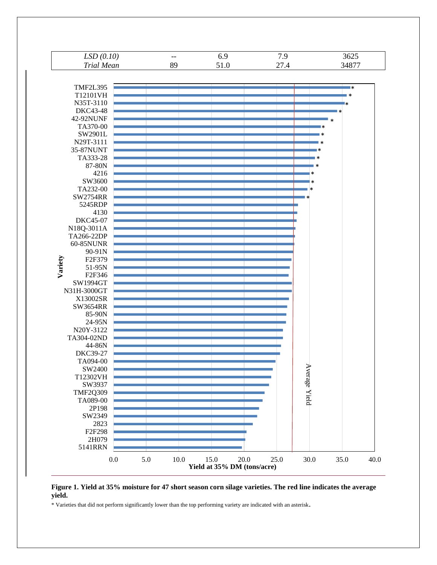

#### **Figure 1. Yield at 35% moisture for 47 short season corn silage varieties. The red line indicates the average yield.**

\* Varieties that did not perform significantly lower than the top performing variety are indicated with an asterisk.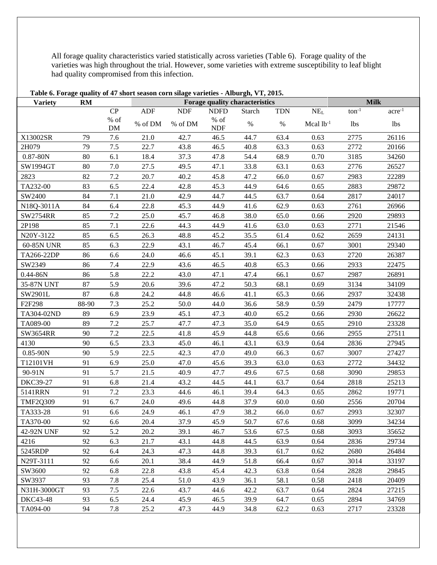All forage quality characteristics varied statistically across varieties (Table 6). Forage quality of the varieties was high throughout the trial. However, some varieties with extreme susceptibility to leaf blight had quality compromised from this infection.

| Table 6. Forage quality of 47 short season corn silage varieties - Alburgh, VT, 2015. |           |                 |         |            |                       |                                |            |                 |             |                  |  |
|---------------------------------------------------------------------------------------|-----------|-----------------|---------|------------|-----------------------|--------------------------------|------------|-----------------|-------------|------------------|--|
| <b>Variety</b>                                                                        | <b>RM</b> |                 |         |            |                       | Forage quality characteristics |            |                 | <b>Milk</b> |                  |  |
|                                                                                       |           | CP              | ADF     | <b>NDF</b> | <b>NDFD</b>           | <b>Starch</b>                  | <b>TDN</b> | NE <sub>L</sub> | $ton^{-1}$  | $\rm{acre}^{-1}$ |  |
|                                                                                       |           | $\%$ of<br>$DM$ | % of DM | $\%$ of DM | $\%$ of<br><b>NDF</b> | $\%$                           | $\%$       | Mcal $lb^{-1}$  | lbs         | lbs              |  |
| X13002SR                                                                              | 79        | 7.6             | 21.0    | 42.7       | 46.5                  | 44.7                           | 63.4       | 0.63            | 2775        | 26116            |  |
| 2H079                                                                                 | 79        | $7.5$           | 22.7    | 43.8       | 46.5                  | 40.8                           | 63.3       | 0.63            | 2772        | 20166            |  |
| $0.87 - 80N$                                                                          | 80        | 6.1             | 18.4    | 37.3       | 47.8                  | 54.4                           | 68.9       | 0.70            | 3185        | 34260            |  |
| SW1994GT                                                                              | 80        | 7.0             | 27.5    | 49.5       | 47.1                  | 33.8                           | 63.1       | 0.63            | 2776        | 26527            |  |
| 2823                                                                                  | 82        | $7.2\,$         | 20.7    | 40.2       | 45.8                  | 47.2                           | 66.0       | 0.67            | 2983        | 22289            |  |
| TA232-00                                                                              | 83        | 6.5             | 22.4    | 42.8       | 45.3                  | 44.9                           | 64.6       | 0.65            | 2883        | 29872            |  |
| SW2400                                                                                | 84        | 7.1             | 21.0    | 42.9       | 44.7                  | 44.5                           | 63.7       | 0.64            | 2817        | 24017            |  |
| N18Q-3011A                                                                            | 84        | 6.4             | 22.8    | 45.3       | 44.9                  | 41.6                           | 62.9       | 0.63            | 2761        | 26966            |  |
| <b>SW2754RR</b>                                                                       | 85        | $7.2\,$         | 25.0    | 45.7       | 46.8                  | 38.0                           | 65.0       | 0.66            | 2920        | 29893            |  |
| 2P198                                                                                 | 85        | 7.1             | 22.6    | 44.3       | 44.9                  | 41.6                           | 63.0       | 0.63            | 2771        | 21546            |  |
| N20Y-3122                                                                             | 85        | 6.5             | 26.3    | 48.8       | 45.2                  | 35.5                           | 61.4       | 0.62            | 2659        | 24131            |  |
| 60-85N UNR                                                                            | 85        | 6.3             | 22.9    | 43.1       | 46.7                  | 45.4                           | 66.1       | 0.67            | 3001        | 29340            |  |
| TA266-22DP                                                                            | 86        | 6.6             | 24.0    | 46.6       | 45.1                  | 39.1                           | 62.3       | 0.63            | 2720        | 26387            |  |
| SW2349                                                                                | 86        | 7.4             | 22.9    | 43.6       | 46.5                  | 40.8                           | 65.3       | 0.66            | 2933        | 22475            |  |
| $0.44 - 86N$                                                                          | 86        | 5.8             | 22.2    | 43.0       | 47.1                  | 47.4                           | 66.1       | 0.67            | 2987        | 26891            |  |
| 35-87N UNT                                                                            | 87        | 5.9             | 20.6    | 39.6       | 47.2                  | 50.3                           | 68.1       | 0.69            | 3134        | 34109            |  |
| SW2901L                                                                               | 87        | 6.8             | 24.2    | 44.8       | 46.6                  | 41.1                           | 65.3       | 0.66            | 2937        | 32438            |  |
| F2F298                                                                                | 88-90     | 7.3             | 25.2    | 50.0       | 44.0                  | 36.6                           | 58.9       | 0.59            | 2479        | 17777            |  |
| TA304-02ND                                                                            | 89        | 6.9             | 23.9    | 45.1       | 47.3                  | 40.0                           | 65.2       | 0.66            | 2930        | 26622            |  |
| TA089-00                                                                              | 89        | 7.2             | 25.7    | 47.7       | 47.3                  | 35.0                           | 64.9       | 0.65            | 2910        | 23328            |  |
| SW3654RR                                                                              | 90        | 7.2             | 22.5    | 41.8       | 45.9                  | 44.8                           | 65.6       | 0.66            | 2955        | 27511            |  |
| 4130                                                                                  | 90        | 6.5             | 23.3    | 45.0       | 46.1                  | 43.1                           | 63.9       | 0.64            | 2836        | 27945            |  |
| $0.85 - 90N$                                                                          | 90        | 5.9             | 22.5    | 42.3       | 47.0                  | 49.0                           | 66.3       | 0.67            | 3007        | 27427            |  |
| T12101VH                                                                              | 91        | 6.9             | 25.0    | 47.0       | 45.6                  | 39.3                           | 63.0       | 0.63            | 2772        | 34432            |  |
| 90-91N                                                                                | 91        | 5.7             | 21.5    | 40.9       | 47.7                  | 49.6                           | 67.5       | 0.68            | 3090        | 29853            |  |
| DKC39-27                                                                              | 91        | 6.8             | 21.4    | 43.2       | 44.5                  | 44.1                           | 63.7       | 0.64            | 2818        | 25213            |  |
| 5141RRN                                                                               | 91        | $7.2\,$         | 23.3    | 44.6       | 46.1                  | 39.4                           | 64.3       | 0.65            | 2862        | 19771            |  |
| <b>TMF2Q309</b>                                                                       | 91        | 6.7             | 24.0    | 49.6       | 44.8                  | 37.9                           | 60.0       | 0.60            | 2556        | 20704            |  |
| TA333-28                                                                              | 91        | 6.6             | 24.9    | 46.1       | 47.9                  | 38.2                           | 66.0       | 0.67            | 2993        | 32307            |  |
| TA370-00                                                                              | 92        | 6.6             | 20.4    | 37.9       | 45.9                  | 50.7                           | 67.6       | 0.68            | 3099        | 34234            |  |
| 42-92N UNF                                                                            | 92        | 5.2             | 20.2    | 39.1       | 46.7                  | 53.6                           | 67.5       | 0.68            | 3093        | 35652            |  |
| 4216                                                                                  | 92        | 6.3             | 21.7    | 43.1       | 44.8                  | 44.5                           | 63.9       | 0.64            | 2836        | 29734            |  |
| 5245RDP                                                                               | 92        | 6.4             | 24.3    | 47.3       | 44.8                  | 39.3                           | 61.7       | 0.62            | 2680        | 26484            |  |
| N29T-3111                                                                             | 92        | 6.6             | 20.1    | 38.4       | 44.9                  | 51.8                           | 66.4       | 0.67            | 3014        | 33197            |  |
| SW3600                                                                                | 92        | 6.8             | 22.8    | 43.8       | 45.4                  | 42.3                           | 63.8       | 0.64            | 2828        | 29845            |  |
| SW3937                                                                                | 93        | 7.8             | 25.4    | 51.0       | 43.9                  | 36.1                           | 58.1       | 0.58            | 2418        | 20409            |  |
| N31H-3000GT                                                                           | 93        | $7.5$           | 22.6    | 43.7       | 44.6                  | 42.2                           | 63.7       | 0.64            | 2824        | 27215            |  |
| DKC43-48                                                                              | 93        | 6.5             | 24.4    | 45.9       | 46.5                  | 39.9                           | 64.7       | 0.65            | 2894        | 34769            |  |
| TA094-00                                                                              | 94        | 7.8             | 25.2    | 47.3       | 44.9                  | 34.8                           | 62.2       | 0.63            | 2717        | 23328            |  |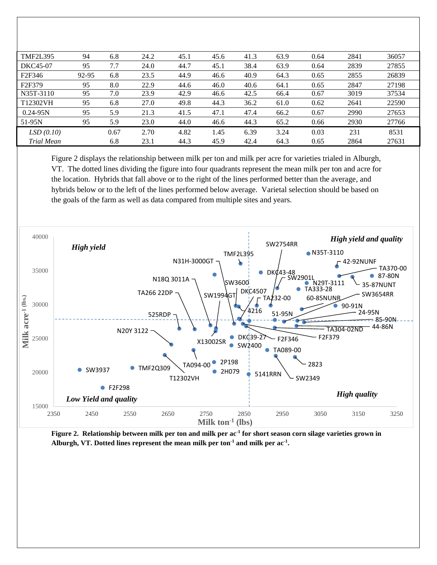| <b>TMF2L395</b>     | 94    | 6.8  | 24.2 | 45.1 | 45.6 | 41.3 | 63.9 | 0.64 | 2841 | 36057 |
|---------------------|-------|------|------|------|------|------|------|------|------|-------|
| DKC45-07            | 95    | 7.7  | 24.0 | 44.7 | 45.1 | 38.4 | 63.9 | 0.64 | 2839 | 27855 |
| F <sub>2F</sub> 346 | 92-95 | 6.8  | 23.5 | 44.9 | 46.6 | 40.9 | 64.3 | 0.65 | 2855 | 26839 |
| F <sub>2F379</sub>  | 95    | 8.0  | 22.9 | 44.6 | 46.0 | 40.6 | 64.1 | 0.65 | 2847 | 27198 |
| N35T-3110           | 95    | 7.0  | 23.9 | 42.9 | 46.6 | 42.5 | 66.4 | 0.67 | 3019 | 37534 |
| T12302VH            | 95    | 6.8  | 27.0 | 49.8 | 44.3 | 36.2 | 61.0 | 0.62 | 2641 | 22590 |
| $0.24 - 95N$        | 95    | 5.9  | 21.3 | 41.5 | 47.1 | 47.4 | 66.2 | 0.67 | 2990 | 27653 |
| $51-95N$            | 95    | 5.9  | 23.0 | 44.0 | 46.6 | 44.3 | 65.2 | 0.66 | 2930 | 27766 |
| LSD(0.10)           |       | 0.67 | 2.70 | 4.82 | 1.45 | 6.39 | 3.24 | 0.03 | 231  | 8531  |
| <b>Trial Mean</b>   |       | 6.8  | 23.1 | 44.3 | 45.9 | 42.4 | 64.3 | 0.65 | 2864 | 27631 |

Figure 2 displays the relationship between milk per ton and milk per acre for varieties trialed in Alburgh, VT. The dotted lines dividing the figure into four quadrants represent the mean milk per ton and acre for the location. Hybrids that fall above or to the right of the lines performed better than the average, and hybrids below or to the left of the lines performed below average. Varietal selection should be based on the goals of the farm as well as data compared from multiple sites and years.



**Figure 2. Relationship between milk per ton and milk per ac-1 for short season corn silage varieties grown in Alburgh, VT. Dotted lines represent the mean milk per ton-1 and milk per ac-1 .**